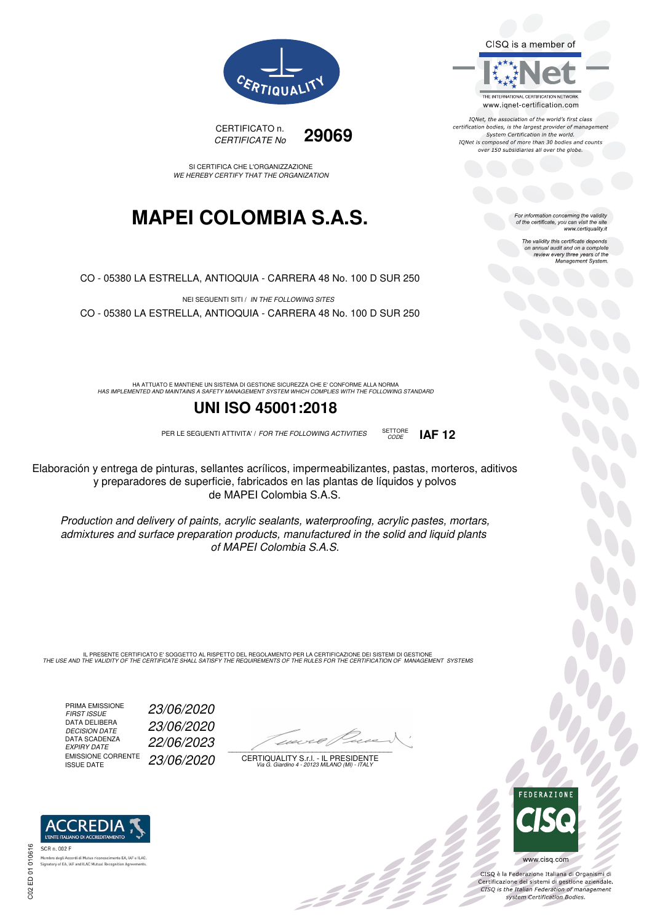CISO is a member of



IQNet, the association of the world's first class certification bodies, is the largest provider of management System Certification in the world.<br>IQNet is composed of more than 30 bodies and counts over 150 subsidiaries all over the globe.

CODE **IAF 12**

For information concerning the validity<br>of the certificate, you can visit the site www.certiquality.it

> The validity this certificate depends on annual audit and on a complete<br>on annual audit and on a complete<br>review every three years of the<br>Management System.



CERTIFICATO n. CERTIFICATE No **29069** 

SI CERTIFICA CHE L'ORGANIZZAZIONE WE HEREBY CERTIFY THAT THE ORGANIZATION

## **MAPEI COLOMBIA S.A.S.**

CO - 05380 LA ESTRELLA, ANTIOQUIA - CARRERA 48 No. 100 D SUR 250

NEI SEGUENTI SITI / IN THE FOLLOWING SITES CO - 05380 LA ESTRELLA, ANTIOQUIA - CARRERA 48 No. 100 D SUR 250

HA ATTUATO E MANTIENE UN SISTEMA DI GESTIONE SICUREZZA CHE E' CONFORME ALLA NORMA<br>HAS IMPLEMENTED AND MAINTAINS A SAFETY MANAGEMENT SYSTEM WHICH COMPLIES WITH THE FOLLOWING STANDARD

### **UNI ISO 45001:2018**

PER LE SEGUENTI ATTIVITA' / FOR THE FOLLOWING ACTIVITIES SETTORE

Elaboración y entrega de pinturas, sellantes acrílicos, impermeabilizantes, pastas, morteros, aditivos y preparadores de superficie, fabricados en las plantas de líquidos y polvos de MAPEI Colombia S.A.S.

Production and delivery of paints, acrylic sealants, waterproofing, acrylic pastes, mortars, admixtures and surface preparation products, manufactured in the solid and liquid plants of MAPEI Colombia S.A.S.

IL PRESENTE CERTIFICATO E' SOGGETTO AL RISPETTO DEL REGOLAMENTO PER LA CERTIFICAZIONE DEI SISTEMI DI GESTIONE<br>THE USE AND THE VALIDITY OF THE CERTIFICATE SHALL SATISFY THE REQUIREMENTS OF THE RULES FOR THE CERTIFICATION OF

PRIMA EMISSIONE<br>FIRST ISSUE DATA DELIBERA<br>DECISION DATE DATA SCADENZA<br>EXPIRY DATE EMISSIONE CORRENTE<br>ISSUE DATE

FIRST ISSUE 23/06/2020 DECISION DATE 23/06/2020 EXPIRY DATE 22/06/2023 23/06/2020

 $\overline{\phantom{a}}$ 

:422

CERTIQUALITY S.r.l. - IL PRESIDENTE Via G. Giardino 4 - 20123 MILANO (MI) - ITALY



 $\frac{1}{2}$ 

www.cisq.com

CISO è la Federazione Italiana di Organismi di CISQ e la regerazione italiana di Organismi di<br>Certificazione dei sistemi di gestione aziendale.<br>CISQ is the Italian Federation of management system Certification Bodies.